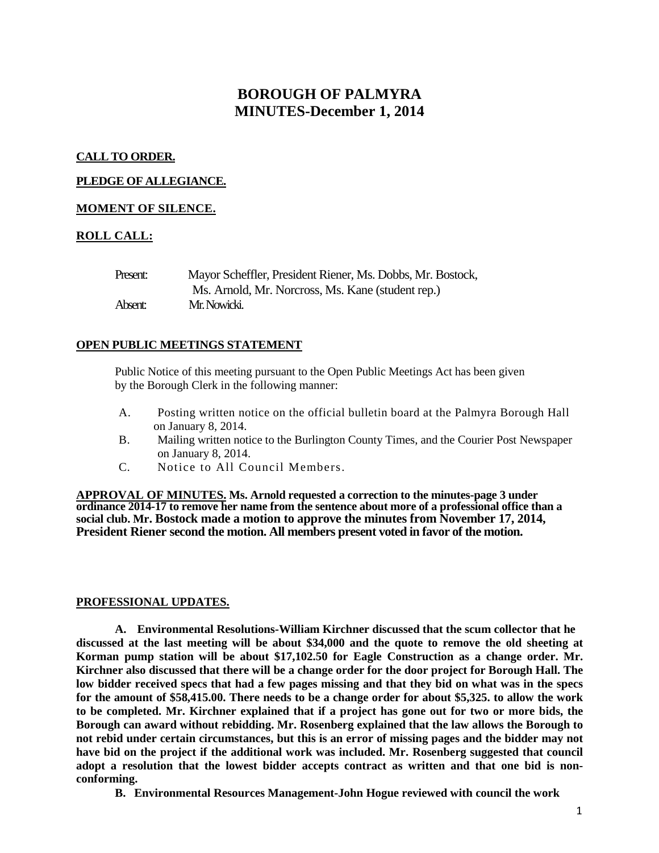# **BOROUGH OF PALMYRA MINUTES-December 1, 2014**

# **CALL TO ORDER.**

# **PLEDGE OF ALLEGIANCE.**

## **MOMENT OF SILENCE.**

# **ROLL CALL:**

| Present: | Mayor Scheffler, President Riener, Ms. Dobbs, Mr. Bostock, |
|----------|------------------------------------------------------------|
|          | Ms. Arnold, Mr. Norcross, Ms. Kane (student rep.)          |
| Absent:  | Mr. Nowicki.                                               |

## **OPEN PUBLIC MEETINGS STATEMENT**

Public Notice of this meeting pursuant to the Open Public Meetings Act has been given by the Borough Clerk in the following manner:

- A. Posting written notice on the official bulletin board at the Palmyra Borough Hall on January 8, 2014.
- B. Mailing written notice to the Burlington County Times, and the Courier Post Newspaper on January 8, 2014.
- C. Notice to All Council Members.

**APPROVAL OF MINUTES. Ms. Arnold requested a correction to the minutes-page 3 under ordinance 2014-17 to remove her name from the sentence about more of a professional office than a social club. Mr. Bostock made a motion to approve the minutes from November 17, 2014, President Riener second the motion. All members present voted in favor of the motion.** 

## **PROFESSIONAL UPDATES.**

**A. Environmental Resolutions-William Kirchner discussed that the scum collector that he discussed at the last meeting will be about \$34,000 and the quote to remove the old sheeting at Korman pump station will be about \$17,102.50 for Eagle Construction as a change order. Mr. Kirchner also discussed that there will be a change order for the door project for Borough Hall. The low bidder received specs that had a few pages missing and that they bid on what was in the specs for the amount of \$58,415.00. There needs to be a change order for about \$5,325. to allow the work to be completed. Mr. Kirchner explained that if a project has gone out for two or more bids, the Borough can award without rebidding. Mr. Rosenberg explained that the law allows the Borough to not rebid under certain circumstances, but this is an error of missing pages and the bidder may not have bid on the project if the additional work was included. Mr. Rosenberg suggested that council adopt a resolution that the lowest bidder accepts contract as written and that one bid is nonconforming.** 

**B. Environmental Resources Management-John Hogue reviewed with council the work**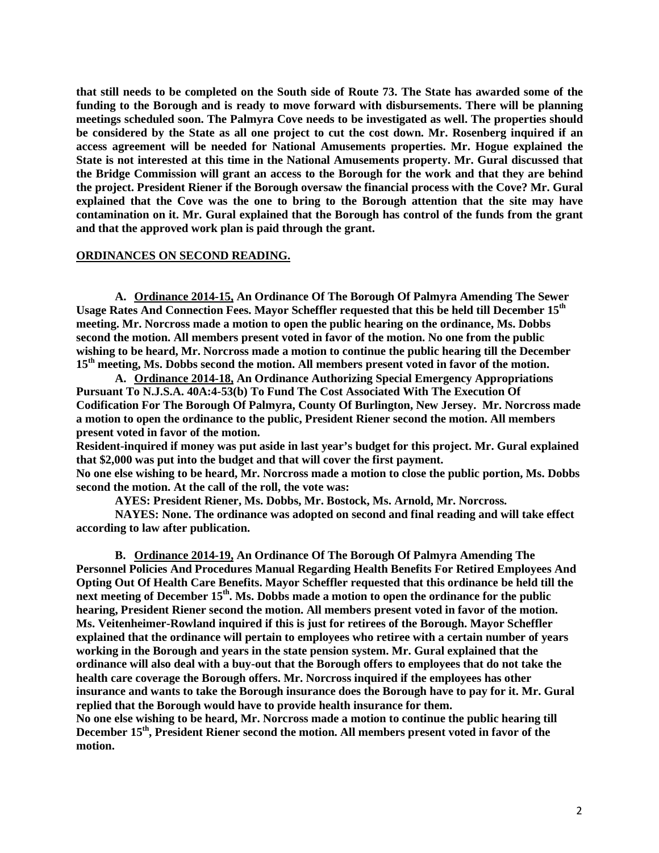**that still needs to be completed on the South side of Route 73. The State has awarded some of the funding to the Borough and is ready to move forward with disbursements. There will be planning meetings scheduled soon. The Palmyra Cove needs to be investigated as well. The properties should be considered by the State as all one project to cut the cost down. Mr. Rosenberg inquired if an access agreement will be needed for National Amusements properties. Mr. Hogue explained the State is not interested at this time in the National Amusements property. Mr. Gural discussed that the Bridge Commission will grant an access to the Borough for the work and that they are behind the project. President Riener if the Borough oversaw the financial process with the Cove? Mr. Gural explained that the Cove was the one to bring to the Borough attention that the site may have contamination on it. Mr. Gural explained that the Borough has control of the funds from the grant and that the approved work plan is paid through the grant.** 

## **ORDINANCES ON SECOND READING.**

**A. Ordinance 2014-15, An Ordinance Of The Borough Of Palmyra Amending The Sewer Usage Rates And Connection Fees. Mayor Scheffler requested that this be held till December 15th meeting. Mr. Norcross made a motion to open the public hearing on the ordinance, Ms. Dobbs second the motion. All members present voted in favor of the motion. No one from the public wishing to be heard, Mr. Norcross made a motion to continue the public hearing till the December 15th meeting, Ms. Dobbs second the motion. All members present voted in favor of the motion.** 

**A. Ordinance 2014-18, An Ordinance Authorizing Special Emergency Appropriations Pursuant To N.J.S.A. 40A:4-53(b) To Fund The Cost Associated With The Execution Of Codification For The Borough Of Palmyra, County Of Burlington, New Jersey. Mr. Norcross made a motion to open the ordinance to the public, President Riener second the motion. All members present voted in favor of the motion.** 

**Resident-inquired if money was put aside in last year's budget for this project. Mr. Gural explained that \$2,000 was put into the budget and that will cover the first payment.** 

**No one else wishing to be heard, Mr. Norcross made a motion to close the public portion, Ms. Dobbs second the motion. At the call of the roll, the vote was:**

**AYES: President Riener, Ms. Dobbs, Mr. Bostock, Ms. Arnold, Mr. Norcross.**

**NAYES: None. The ordinance was adopted on second and final reading and will take effect according to law after publication.** 

**B. Ordinance 2014-19, An Ordinance Of The Borough Of Palmyra Amending The Personnel Policies And Procedures Manual Regarding Health Benefits For Retired Employees And Opting Out Of Health Care Benefits. Mayor Scheffler requested that this ordinance be held till the**  next meeting of December 15<sup>th</sup>. Ms. Dobbs made a motion to open the ordinance for the public **hearing, President Riener second the motion. All members present voted in favor of the motion. Ms. Veitenheimer-Rowland inquired if this is just for retirees of the Borough. Mayor Scheffler explained that the ordinance will pertain to employees who retiree with a certain number of years working in the Borough and years in the state pension system. Mr. Gural explained that the ordinance will also deal with a buy-out that the Borough offers to employees that do not take the health care coverage the Borough offers. Mr. Norcross inquired if the employees has other insurance and wants to take the Borough insurance does the Borough have to pay for it. Mr. Gural replied that the Borough would have to provide health insurance for them.** 

**No one else wishing to be heard, Mr. Norcross made a motion to continue the public hearing till**  December 15<sup>th</sup>, President Riener second the motion. All members present voted in favor of the **motion.**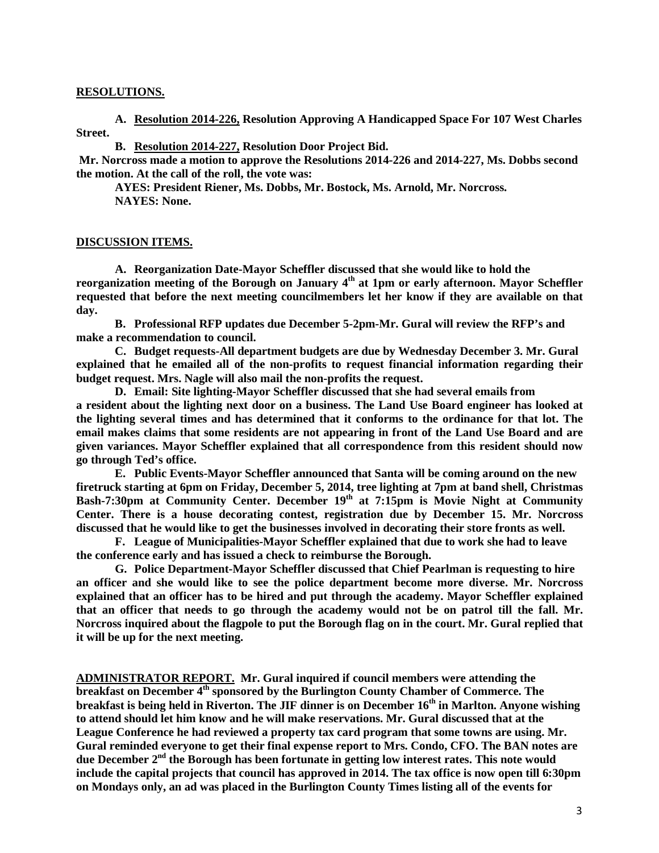#### **RESOLUTIONS.**

**A. Resolution 2014-226, Resolution Approving A Handicapped Space For 107 West Charles Street.**

**B. Resolution 2014-227, Resolution Door Project Bid.**

**Mr. Norcross made a motion to approve the Resolutions 2014-226 and 2014-227, Ms. Dobbs second the motion. At the call of the roll, the vote was:**

**AYES: President Riener, Ms. Dobbs, Mr. Bostock, Ms. Arnold, Mr. Norcross. NAYES: None.**

#### **DISCUSSION ITEMS.**

**A. Reorganization Date-Mayor Scheffler discussed that she would like to hold the reorganization meeting of the Borough on January 4th at 1pm or early afternoon. Mayor Scheffler requested that before the next meeting councilmembers let her know if they are available on that day.** 

**B. Professional RFP updates due December 5-2pm-Mr. Gural will review the RFP's and make a recommendation to council.** 

**C. Budget requests-All department budgets are due by Wednesday December 3. Mr. Gural explained that he emailed all of the non-profits to request financial information regarding their budget request. Mrs. Nagle will also mail the non-profits the request.**

**D. Email: Site lighting-Mayor Scheffler discussed that she had several emails from a resident about the lighting next door on a business. The Land Use Board engineer has looked at the lighting several times and has determined that it conforms to the ordinance for that lot. The email makes claims that some residents are not appearing in front of the Land Use Board and are given variances. Mayor Scheffler explained that all correspondence from this resident should now go through Ted's office.**

**E. Public Events-Mayor Scheffler announced that Santa will be coming around on the new firetruck starting at 6pm on Friday, December 5, 2014, tree lighting at 7pm at band shell, Christmas**  Bash-7:30pm at Community Center. December 19<sup>th</sup> at 7:15pm is Movie Night at Community **Center. There is a house decorating contest, registration due by December 15. Mr. Norcross discussed that he would like to get the businesses involved in decorating their store fronts as well.** 

**F. League of Municipalities-Mayor Scheffler explained that due to work she had to leave the conference early and has issued a check to reimburse the Borough.** 

**G. Police Department-Mayor Scheffler discussed that Chief Pearlman is requesting to hire an officer and she would like to see the police department become more diverse. Mr. Norcross explained that an officer has to be hired and put through the academy. Mayor Scheffler explained that an officer that needs to go through the academy would not be on patrol till the fall. Mr. Norcross inquired about the flagpole to put the Borough flag on in the court. Mr. Gural replied that it will be up for the next meeting.** 

**ADMINISTRATOR REPORT. Mr. Gural inquired if council members were attending the breakfast on December 4th sponsored by the Burlington County Chamber of Commerce. The breakfast is being held in Riverton. The JIF dinner is on December 16th in Marlton. Anyone wishing to attend should let him know and he will make reservations. Mr. Gural discussed that at the League Conference he had reviewed a property tax card program that some towns are using. Mr. Gural reminded everyone to get their final expense report to Mrs. Condo, CFO. The BAN notes are due December 2nd the Borough has been fortunate in getting low interest rates. This note would include the capital projects that council has approved in 2014. The tax office is now open till 6:30pm on Mondays only, an ad was placed in the Burlington County Times listing all of the events for**